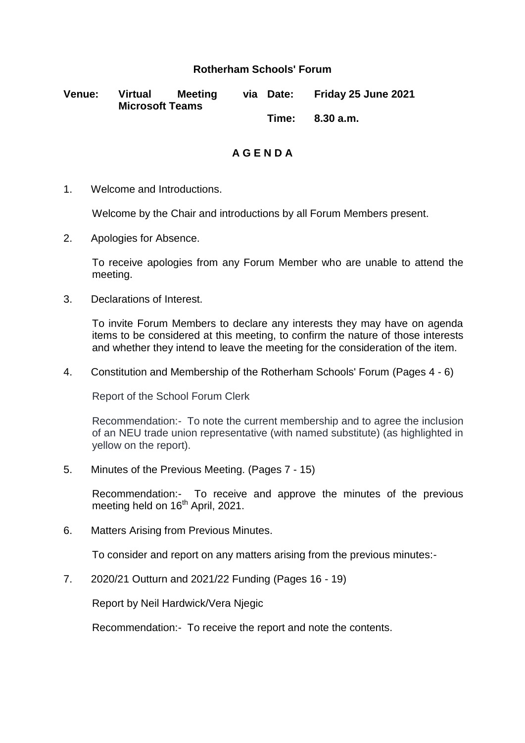## **Rotherham Schools' Forum**

| <b>Venue:</b> | <b>Virtual</b>         | Meeting | via Date: | Friday 25 June 2021 |
|---------------|------------------------|---------|-----------|---------------------|
|               | <b>Microsoft Teams</b> |         |           |                     |
|               |                        |         |           | Time: 8.30 a.m.     |

**A G E N D A**

1. Welcome and Introductions.

Welcome by the Chair and introductions by all Forum Members present.

2. Apologies for Absence.

To receive apologies from any Forum Member who are unable to attend the meeting.

3. Declarations of Interest.

To invite Forum Members to declare any interests they may have on agenda items to be considered at this meeting, to confirm the nature of those interests and whether they intend to leave the meeting for the consideration of the item.

4. Constitution and Membership of the Rotherham Schools' Forum (Pages 4 - 6)

Report of the School Forum Clerk

Recommendation:- To note the current membership and to agree the inclusion of an NEU trade union representative (with named substitute) (as highlighted in yellow on the report).

5. Minutes of the Previous Meeting. (Pages 7 - 15)

Recommendation:- To receive and approve the minutes of the previous meeting held on 16<sup>th</sup> April, 2021.

6. Matters Arising from Previous Minutes.

To consider and report on any matters arising from the previous minutes:-

7. 2020/21 Outturn and 2021/22 Funding (Pages 16 - 19)

Report by Neil Hardwick/Vera Njegic

Recommendation:- To receive the report and note the contents.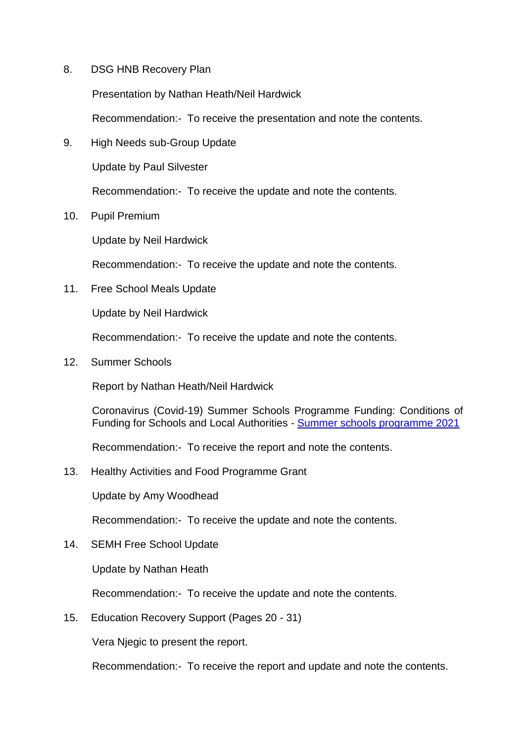8. DSG HNB Recovery Plan

Presentation by Nathan Heath/Neil Hardwick

Recommendation:- To receive the presentation and note the contents.

9. High Needs sub-Group Update

Update by Paul Silvester

Recommendation:- To receive the update and note the contents.

10. Pupil Premium

Update by Neil Hardwick

Recommendation:- To receive the update and note the contents.

11. Free School Meals Update

Update by Neil Hardwick

Recommendation:- To receive the update and note the contents.

12. Summer Schools

Report by Nathan Heath/Neil Hardwick

Coronavirus (Covid-19) Summer Schools Programme Funding: Conditions of Funding for Schools and Local Authorities - [Summer schools programme 2021](https://eur02.safelinks.protection.outlook.com/?url=https%3A%2F%2Fwww.gov.uk%2Fgovernment%2Fpublications%2Fcoronavirus-covid-19-summer-schools-programme-funding%2Fsummer-schools-programme-2021-conditions-of-funding-for-schools-and-local-authorities&data=04%7C01%7CDebbie.Pons%40rotherham.gov.uk%7Ccff189b5480e4321bdb208d934d159cc%7C46fbe6fd78ae47699c1dbcea97378af6%7C0%7C0%7C637598896023198247%7CUnknown%7CTWFpbGZsb3d8eyJWIjoiMC4wLjAwMDAiLCJQIjoiV2luMzIiLCJBTiI6Ik1haWwiLCJXVCI6Mn0%3D%7C1000&sdata=bOMDGVUJNda2sUPSYW1WpJq6LVUfgAHTkl01ifsi0Q8%3D&reserved=0)

Recommendation:- To receive the report and note the contents.

13. Healthy Activities and Food Programme Grant

Update by Amy Woodhead

Recommendation:- To receive the update and note the contents.

14. SEMH Free School Update

Update by Nathan Heath

Recommendation:- To receive the update and note the contents.

15. Education Recovery Support (Pages 20 - 31)

Vera Njegic to present the report.

Recommendation:- To receive the report and update and note the contents.